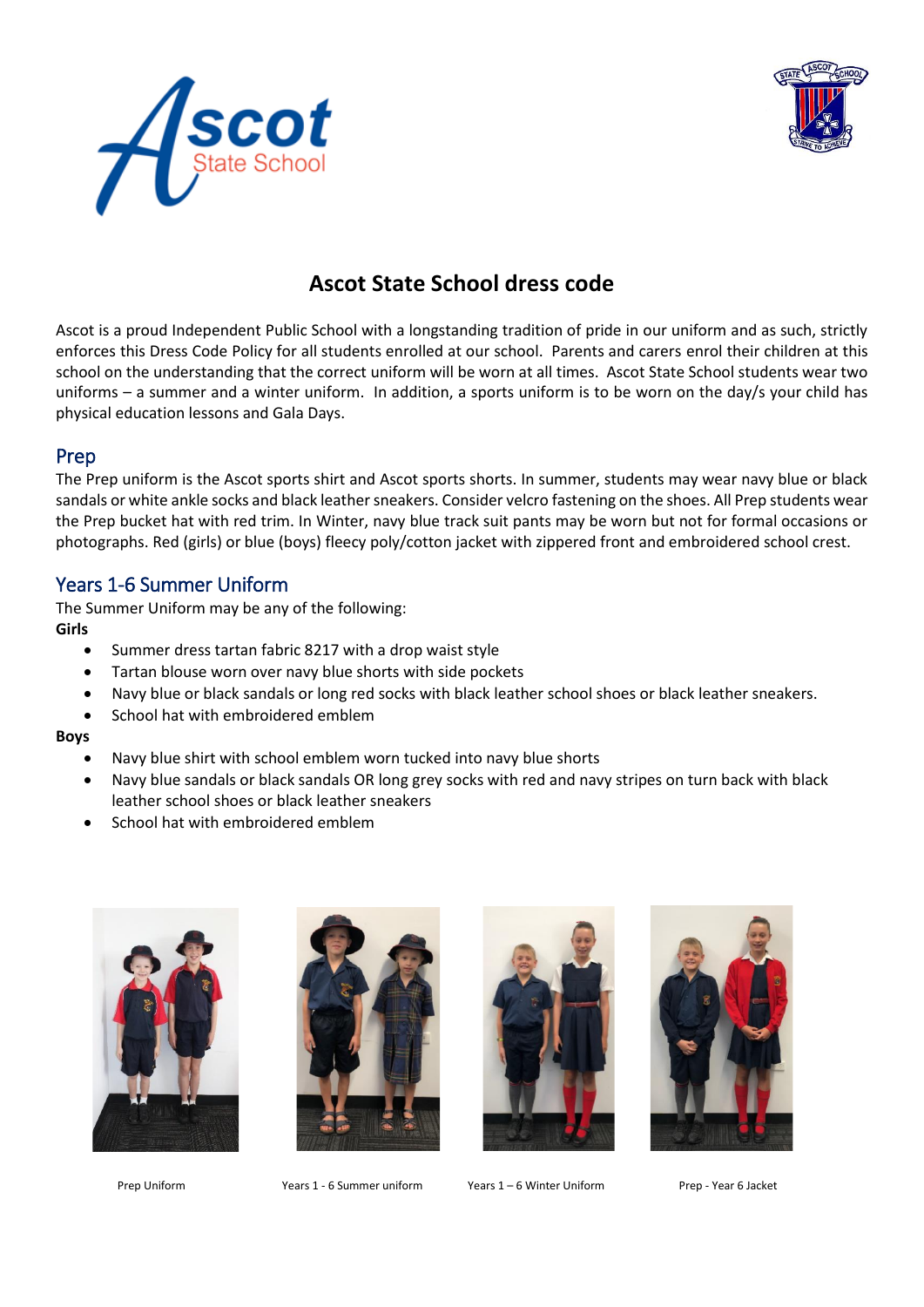



# **Ascot State School dress code**

Ascot is a proud Independent Public School with a longstanding tradition of pride in our uniform and as such, strictly enforces this Dress Code Policy for all students enrolled at our school. Parents and carers enrol their children at this school on the understanding that the correct uniform will be worn at all times. Ascot State School students wear two uniforms – a summer and a winter uniform. In addition, a sports uniform is to be worn on the day/s your child has physical education lessons and Gala Days.

#### Prep

The Prep uniform is the Ascot sports shirt and Ascot sports shorts. In summer, students may wear navy blue or black sandals or white ankle socks and black leather sneakers. Consider velcro fastening on the shoes. All Prep students wear the Prep bucket hat with red trim. In Winter, navy blue track suit pants may be worn but not for formal occasions or photographs. Red (girls) or blue (boys) fleecy poly/cotton jacket with zippered front and embroidered school crest.

# Years 1-6 Summer Uniform

The Summer Uniform may be any of the following: **Girls** 

- Summer dress tartan fabric 8217 with a drop waist style
- Tartan blouse worn over navy blue shorts with side pockets
- Navy blue or black sandals or long red socks with black leather school shoes or black leather sneakers.
- School hat with embroidered emblem

#### **Boys**

- Navy blue shirt with school emblem worn tucked into navy blue shorts
- Navy blue sandals or black sandals OR long grey socks with red and navy stripes on turn back with black leather school shoes or black leather sneakers
- School hat with embroidered emblem







Prep Uniform Years 1 - 6 Summer uniform Years 1 – 6 Winter Uniform Prep - Year 6 Jacket